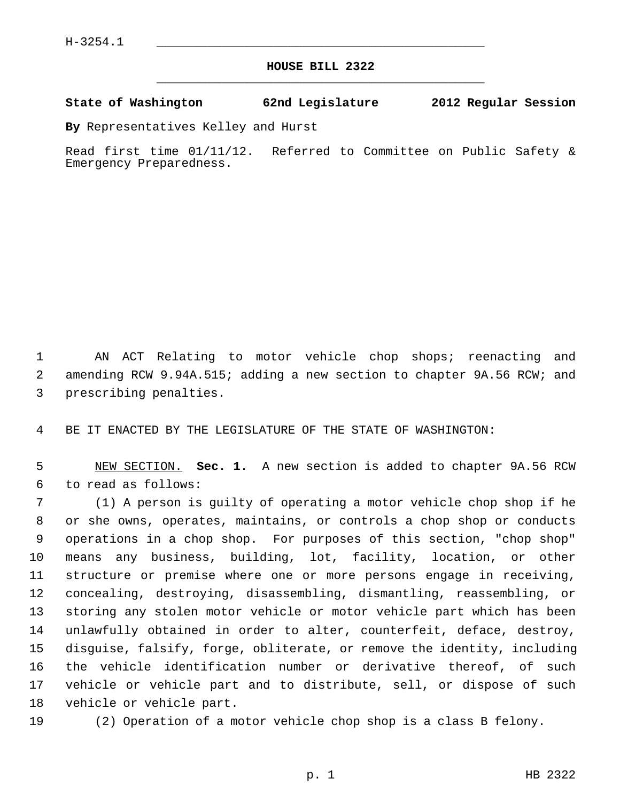## **HOUSE BILL 2322** \_\_\_\_\_\_\_\_\_\_\_\_\_\_\_\_\_\_\_\_\_\_\_\_\_\_\_\_\_\_\_\_\_\_\_\_\_\_\_\_\_\_\_\_\_

## **State of Washington 62nd Legislature 2012 Regular Session**

**By** Representatives Kelley and Hurst

Read first time 01/11/12. Referred to Committee on Public Safety & Emergency Preparedness.

 1 AN ACT Relating to motor vehicle chop shops; reenacting and 2 amending RCW 9.94A.515; adding a new section to chapter 9A.56 RCW; and 3 prescribing penalties.

4 BE IT ENACTED BY THE LEGISLATURE OF THE STATE OF WASHINGTON:

 5 NEW SECTION. **Sec. 1.** A new section is added to chapter 9A.56 RCW 6 to read as follows:

 7 (1) A person is guilty of operating a motor vehicle chop shop if he 8 or she owns, operates, maintains, or controls a chop shop or conducts 9 operations in a chop shop. For purposes of this section, "chop shop" 10 means any business, building, lot, facility, location, or other 11 structure or premise where one or more persons engage in receiving, 12 concealing, destroying, disassembling, dismantling, reassembling, or 13 storing any stolen motor vehicle or motor vehicle part which has been 14 unlawfully obtained in order to alter, counterfeit, deface, destroy, 15 disguise, falsify, forge, obliterate, or remove the identity, including 16 the vehicle identification number or derivative thereof, of such 17 vehicle or vehicle part and to distribute, sell, or dispose of such 18 vehicle or vehicle part.

19 (2) Operation of a motor vehicle chop shop is a class B felony.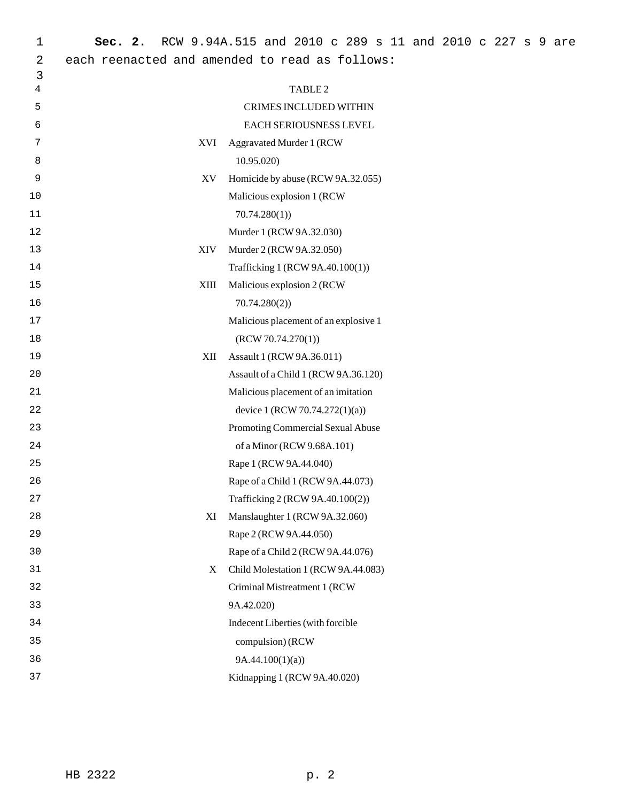| 1  | Sec. 2.                                        | RCW 9.94A.515 and 2010 c 289 s 11 and 2010 c 227 s 9 are |  |  |
|----|------------------------------------------------|----------------------------------------------------------|--|--|
| 2  | each reenacted and amended to read as follows: |                                                          |  |  |
| 3  |                                                |                                                          |  |  |
| 4  |                                                | TABLE <sub>2</sub>                                       |  |  |
| 5  |                                                | CRIMES INCLUDED WITHIN                                   |  |  |
| 6  |                                                | EACH SERIOUSNESS LEVEL                                   |  |  |
| 7  | XVI                                            | <b>Aggravated Murder 1 (RCW</b>                          |  |  |
| 8  |                                                | 10.95.020                                                |  |  |
| 9  | XV                                             | Homicide by abuse (RCW 9A.32.055)                        |  |  |
| 10 |                                                | Malicious explosion 1 (RCW                               |  |  |
| 11 |                                                | 70.74.280(1)                                             |  |  |
| 12 |                                                | Murder 1 (RCW 9A.32.030)                                 |  |  |
| 13 | <b>XIV</b>                                     | Murder 2 (RCW 9A.32.050)                                 |  |  |
| 14 |                                                | Trafficking 1 (RCW 9A.40.100(1))                         |  |  |
| 15 | XIII                                           | Malicious explosion 2 (RCW                               |  |  |
| 16 |                                                | 70.74.280(2)                                             |  |  |
| 17 |                                                | Malicious placement of an explosive 1                    |  |  |
| 18 |                                                | (RCW 70.74.270(1))                                       |  |  |
| 19 | XII                                            | Assault 1 (RCW 9A.36.011)                                |  |  |
| 20 |                                                | Assault of a Child 1 (RCW 9A.36.120)                     |  |  |
| 21 |                                                | Malicious placement of an imitation                      |  |  |
| 22 |                                                | device 1 (RCW 70.74.272(1)(a))                           |  |  |
| 23 |                                                | Promoting Commercial Sexual Abuse                        |  |  |
| 24 |                                                | of a Minor (RCW 9.68A.101)                               |  |  |
| 25 |                                                | Rape 1 (RCW 9A.44.040)                                   |  |  |
| 26 |                                                | Rape of a Child 1 (RCW 9A.44.073)                        |  |  |
| 27 |                                                | Trafficking 2 (RCW 9A.40.100(2))                         |  |  |
| 28 | XI                                             | Manslaughter 1 (RCW 9A.32.060)                           |  |  |
| 29 |                                                | Rape 2 (RCW 9A.44.050)                                   |  |  |
| 30 |                                                | Rape of a Child 2 (RCW 9A.44.076)                        |  |  |
| 31 | X                                              | Child Molestation 1 (RCW 9A.44.083)                      |  |  |
| 32 |                                                | Criminal Mistreatment 1 (RCW                             |  |  |
| 33 |                                                | 9A.42.020)                                               |  |  |
| 34 |                                                | Indecent Liberties (with forcible                        |  |  |
| 35 |                                                | compulsion) (RCW                                         |  |  |
| 36 |                                                | 9A.44.100(1)(a)                                          |  |  |
| 37 |                                                | Kidnapping 1 (RCW 9A.40.020)                             |  |  |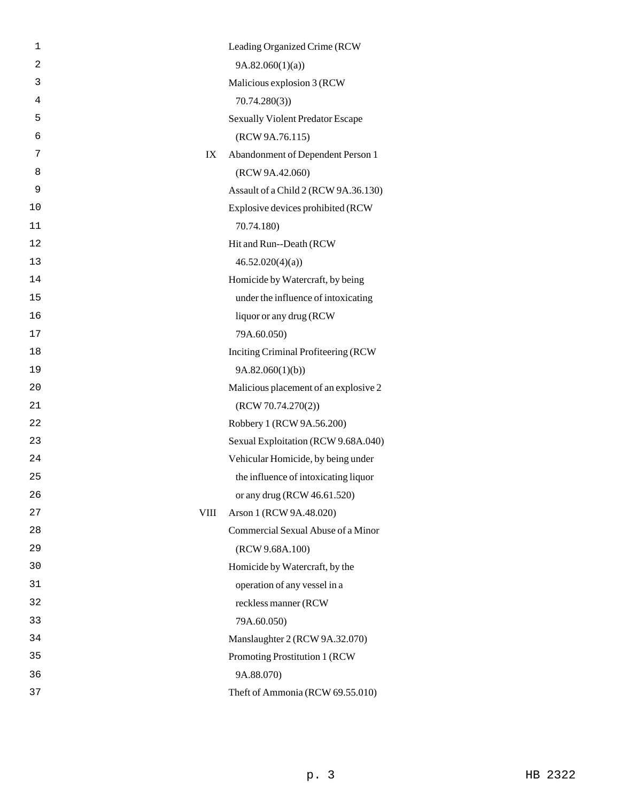| 1              |      | Leading Organized Crime (RCW            |
|----------------|------|-----------------------------------------|
| $\overline{a}$ |      | 9A.82.060(1)(a)                         |
| 3              |      | Malicious explosion 3 (RCW              |
| 4              |      | 70.74.280(3)                            |
| 5              |      | <b>Sexually Violent Predator Escape</b> |
| 6              |      | (RCW 9A.76.115)                         |
| 7              | IX   | Abandonment of Dependent Person 1       |
| 8              |      | (RCW 9A.42.060)                         |
| 9              |      | Assault of a Child 2 (RCW 9A.36.130)    |
| 10             |      | Explosive devices prohibited (RCW       |
| 11             |      | 70.74.180)                              |
| 12             |      | Hit and Run--Death (RCW                 |
| 13             |      | 46.52.020(4)(a)                         |
| 14             |      | Homicide by Watercraft, by being        |
| 15             |      | under the influence of intoxicating     |
| 16             |      | liquor or any drug (RCW                 |
| 17             |      | 79A.60.050)                             |
| 18             |      | Inciting Criminal Profiteering (RCW     |
| 19             |      | 9A.82.060(1)(b)                         |
| 20             |      | Malicious placement of an explosive 2   |
| 21             |      | (RCW 70.74.270(2))                      |
| 22             |      | Robbery 1 (RCW 9A.56.200)               |
| 23             |      | Sexual Exploitation (RCW 9.68A.040)     |
| 24             |      | Vehicular Homicide, by being under      |
| 25             |      | the influence of intoxicating liquor    |
| 26             |      | or any drug (RCW 46.61.520)             |
| 27             | VIII | Arson 1 (RCW 9A.48.020)                 |
| 28             |      | Commercial Sexual Abuse of a Minor      |
| 29             |      | (RCW 9.68A.100)                         |
| 30             |      | Homicide by Watercraft, by the          |
| 31             |      | operation of any vessel in a            |
| 32             |      | reckless manner (RCW                    |
| 33             |      | 79A.60.050)                             |
| 34             |      | Manslaughter 2 (RCW 9A.32.070)          |
| 35             |      | Promoting Prostitution 1 (RCW           |
| 36             |      | 9A.88.070)                              |
| 37             |      | Theft of Ammonia (RCW 69.55.010)        |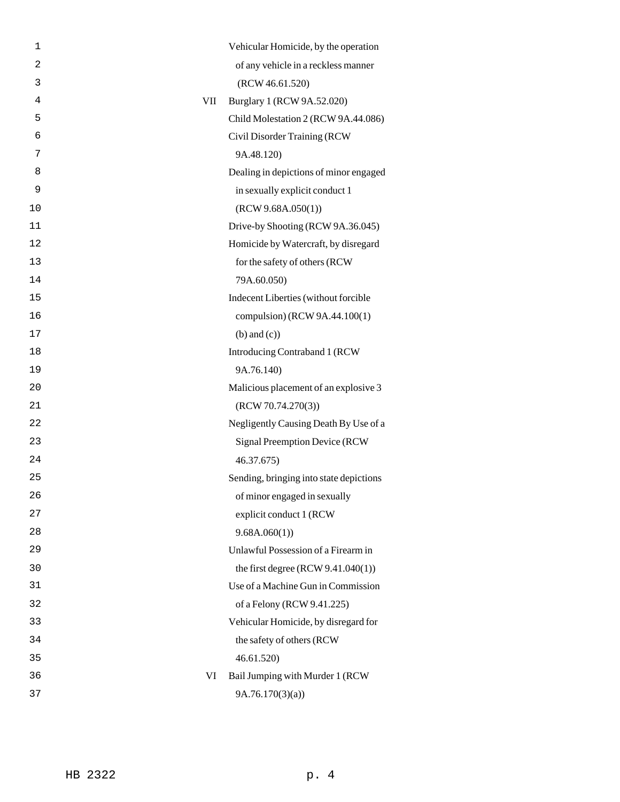| 1  |            | Vehicular Homicide, by the operation    |
|----|------------|-----------------------------------------|
| 2  |            | of any vehicle in a reckless manner     |
| 3  |            | (RCW 46.61.520)                         |
| 4  | <b>VII</b> | Burglary 1 (RCW 9A.52.020)              |
| 5  |            | Child Molestation 2 (RCW 9A.44.086)     |
| 6  |            | Civil Disorder Training (RCW            |
| 7  |            | 9A.48.120)                              |
| 8  |            | Dealing in depictions of minor engaged  |
| 9  |            | in sexually explicit conduct 1          |
| 10 |            | (RCW 9.68A.050(1))                      |
| 11 |            | Drive-by Shooting (RCW 9A.36.045)       |
| 12 |            | Homicide by Watercraft, by disregard    |
| 13 |            | for the safety of others (RCW           |
| 14 |            | 79A.60.050)                             |
| 15 |            | Indecent Liberties (without forcible    |
| 16 |            | compulsion) (RCW 9A.44.100(1)           |
| 17 |            | $(b)$ and $(c)$ )                       |
| 18 |            | Introducing Contraband 1 (RCW           |
| 19 |            | 9A.76.140)                              |
| 20 |            | Malicious placement of an explosive 3   |
| 21 |            | (RCW 70.74.270(3))                      |
| 22 |            | Negligently Causing Death By Use of a   |
| 23 |            | Signal Preemption Device (RCW           |
| 24 |            | 46.37.675)                              |
| 25 |            | Sending, bringing into state depictions |
| 26 |            | of minor engaged in sexually            |
| 27 |            | explicit conduct 1 (RCW                 |
| 28 |            | 9.68A.060(1)                            |
| 29 |            | Unlawful Possession of a Firearm in     |
| 30 |            | the first degree $(RCW 9.41.040(1))$    |
| 31 |            | Use of a Machine Gun in Commission      |
| 32 |            | of a Felony (RCW 9.41.225)              |
| 33 |            | Vehicular Homicide, by disregard for    |
| 34 |            | the safety of others (RCW               |
| 35 |            | 46.61.520)                              |
| 36 | VI         | Bail Jumping with Murder 1 (RCW         |
| 37 |            | 9A.76.170(3)(a)                         |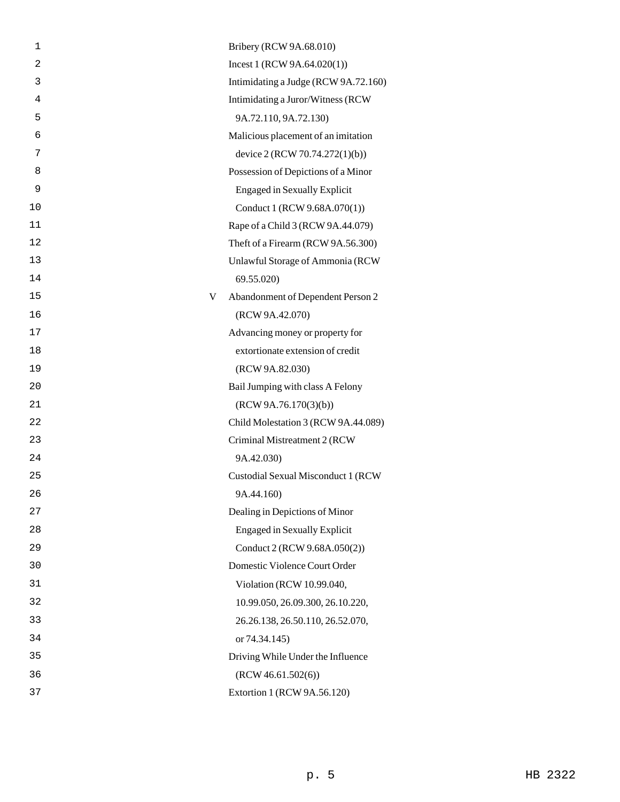| 1              |   | Bribery (RCW 9A.68.010)              |
|----------------|---|--------------------------------------|
| $\overline{a}$ |   | Incest 1 (RCW 9A.64.020(1))          |
| 3              |   | Intimidating a Judge (RCW 9A.72.160) |
| 4              |   | Intimidating a Juror/Witness (RCW    |
| 5              |   | 9A.72.110, 9A.72.130)                |
| 6              |   | Malicious placement of an imitation  |
| 7              |   | device 2 (RCW 70.74.272(1)(b))       |
| 8              |   | Possession of Depictions of a Minor  |
| 9              |   | <b>Engaged in Sexually Explicit</b>  |
| 10             |   | Conduct 1 (RCW 9.68A.070(1))         |
| 11             |   | Rape of a Child 3 (RCW 9A.44.079)    |
| 12             |   | Theft of a Firearm (RCW 9A.56.300)   |
| 13             |   | Unlawful Storage of Ammonia (RCW     |
| 14             |   | 69.55.020)                           |
| 15             | V | Abandonment of Dependent Person 2    |
| 16             |   | (RCW 9A.42.070)                      |
| 17             |   | Advancing money or property for      |
| 18             |   | extortionate extension of credit     |
| 19             |   | (RCW 9A.82.030)                      |
| 20             |   | Bail Jumping with class A Felony     |
| 21             |   | (RCW 9A.76.170(3)(b))                |
| 22             |   | Child Molestation 3 (RCW 9A.44.089)  |
| 23             |   | Criminal Mistreatment 2 (RCW         |
| 24             |   | 9A.42.030)                           |
| 25             |   | Custodial Sexual Misconduct 1 (RCW   |
| 26             |   | 9A.44.160)                           |
| 27             |   | Dealing in Depictions of Minor       |
| 28             |   | <b>Engaged in Sexually Explicit</b>  |
| 29             |   | Conduct 2 (RCW 9.68A.050(2))         |
| 30             |   | Domestic Violence Court Order        |
| 31             |   | Violation (RCW 10.99.040,            |
| 32             |   | 10.99.050, 26.09.300, 26.10.220,     |
| 33             |   | 26.26.138, 26.50.110, 26.52.070,     |
| 34             |   | or 74.34.145)                        |
| 35             |   | Driving While Under the Influence    |
| 36             |   | (RCW 46.61.502(6))                   |
| 37             |   | Extortion 1 (RCW 9A.56.120)          |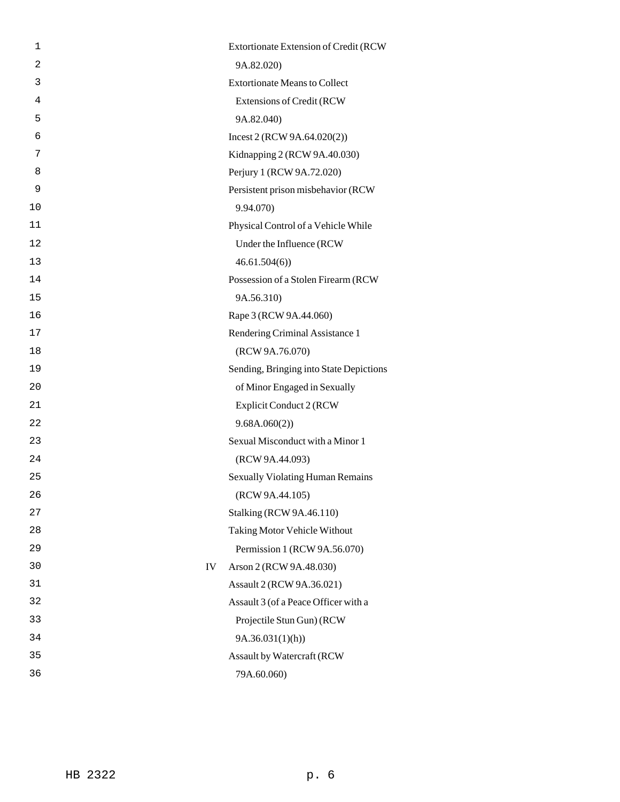| 1              |    | Extortionate Extension of Credit (RCW   |
|----------------|----|-----------------------------------------|
| $\overline{2}$ |    | 9A.82.020)                              |
| 3              |    | <b>Extortionate Means to Collect</b>    |
| 4              |    | Extensions of Credit (RCW               |
| 5              |    | 9A.82.040)                              |
| 6              |    | Incest 2 (RCW 9A.64.020(2))             |
| 7              |    | Kidnapping 2 (RCW 9A.40.030)            |
| 8              |    | Perjury 1 (RCW 9A.72.020)               |
| 9              |    | Persistent prison misbehavior (RCW      |
| 10             |    | 9.94.070)                               |
| 11             |    | Physical Control of a Vehicle While     |
| 12             |    | Under the Influence (RCW                |
| 13             |    | 46.61.504(6)                            |
| 14             |    | Possession of a Stolen Firearm (RCW     |
| 15             |    | 9A.56.310)                              |
| 16             |    | Rape 3 (RCW 9A.44.060)                  |
| 17             |    | Rendering Criminal Assistance 1         |
| 18             |    | (RCW 9A.76.070)                         |
| 19             |    | Sending, Bringing into State Depictions |
| 20             |    | of Minor Engaged in Sexually            |
| 21             |    | Explicit Conduct 2 (RCW                 |
| 22             |    | 9.68A.060(2)                            |
| 23             |    | Sexual Misconduct with a Minor 1        |
| 24             |    | (RCW 9A.44.093)                         |
| 25             |    | <b>Sexually Violating Human Remains</b> |
| 26             |    | (RCW 9A.44.105)                         |
| 27             |    | <b>Stalking (RCW 9A.46.110)</b>         |
| 28             |    | <b>Taking Motor Vehicle Without</b>     |
| 29             |    | Permission 1 (RCW 9A.56.070)            |
| 30             | IV | Arson 2 (RCW 9A.48.030)                 |
| 31             |    | Assault 2 (RCW 9A.36.021)               |
| 32             |    | Assault 3 (of a Peace Officer with a    |
| 33             |    | Projectile Stun Gun) (RCW               |
| 34             |    | 9A.36.031(1)(h)                         |
| 35             |    | Assault by Watercraft (RCW              |
| 36             |    | 79A.60.060)                             |
|                |    |                                         |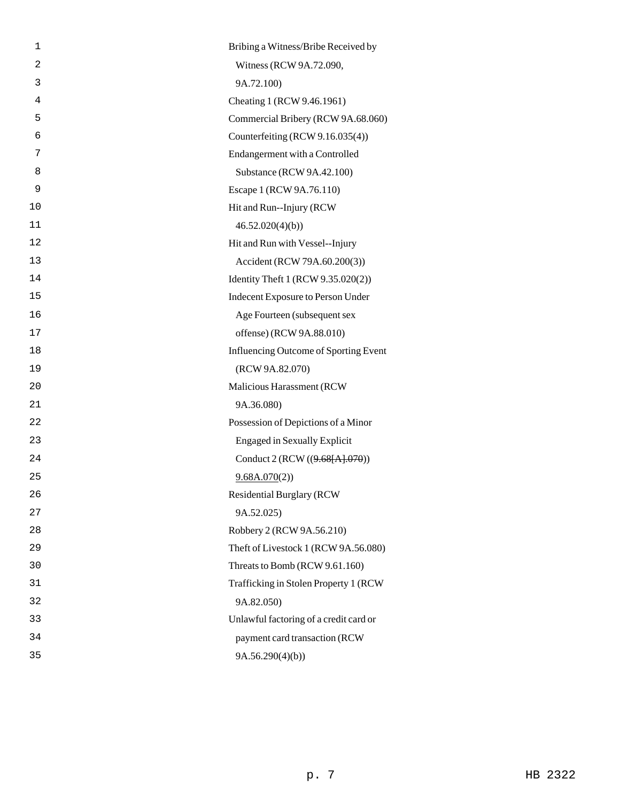| 1              | Bribing a Witness/Bribe Received by    |
|----------------|----------------------------------------|
| $\overline{2}$ | Witness (RCW 9A.72.090,                |
| 3              | 9A.72.100)                             |
| 4              | Cheating 1 (RCW 9.46.1961)             |
| 5              | Commercial Bribery (RCW 9A.68.060)     |
| 6              | Counterfeiting (RCW 9.16.035(4))       |
| 7              | Endangerment with a Controlled         |
| 8              | Substance (RCW 9A.42.100)              |
| 9              | Escape 1 (RCW 9A.76.110)               |
| 10             | Hit and Run--Injury (RCW)              |
| 11             | 46.52.020(4)(b)                        |
| 12             | Hit and Run with Vessel--Injury        |
| 13             | Accident (RCW 79A.60.200(3))           |
| 14             | Identity Theft 1 (RCW 9.35.020(2))     |
| 15             | Indecent Exposure to Person Under      |
| 16             | Age Fourteen (subsequent sex           |
| 17             | offense) (RCW 9A.88.010)               |
| 18             | Influencing Outcome of Sporting Event  |
| 19             | (RCW 9A.82.070)                        |
| 20             | Malicious Harassment (RCW              |
| 21             | 9A.36.080)                             |
| 22             | Possession of Depictions of a Minor    |
| 23             | <b>Engaged in Sexually Explicit</b>    |
| 24             | Conduct 2 (RCW ((9.68[A].070))         |
| 25             | 9.68A.070(2)                           |
| 26             | <b>Residential Burglary (RCW</b>       |
| 27             | 9A.52.025)                             |
| 28             | Robbery 2 (RCW 9A.56.210)              |
| 29             | Theft of Livestock 1 (RCW 9A.56.080)   |
| 30             | Threats to Bomb (RCW 9.61.160)         |
| 31             | Trafficking in Stolen Property 1 (RCW  |
| 32             | 9A.82.050)                             |
| 33             | Unlawful factoring of a credit card or |
| 34             | payment card transaction (RCW          |
| 35             | 9A.56.290(4)(b)                        |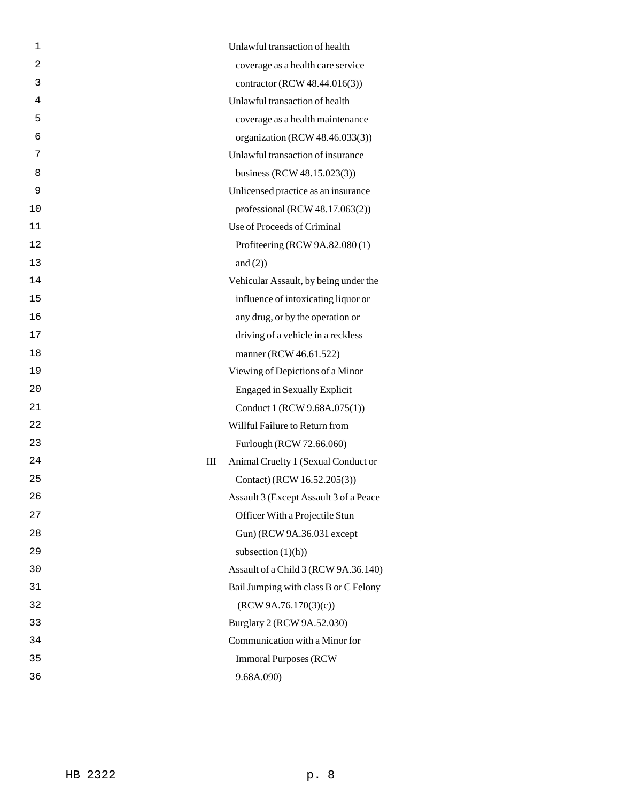| 1              | Unlawful transaction of health           |
|----------------|------------------------------------------|
| $\overline{2}$ | coverage as a health care service        |
| 3              | contractor (RCW 48.44.016(3))            |
| 4              | Unlawful transaction of health           |
| 5              | coverage as a health maintenance         |
| 6              | organization (RCW 48.46.033(3))          |
| 7              | Unlawful transaction of insurance        |
| 8              | business (RCW 48.15.023(3))              |
| 9              | Unlicensed practice as an insurance      |
| 10             | professional (RCW $48.17.063(2)$ )       |
| 11             | Use of Proceeds of Criminal              |
| 12             | Profiteering (RCW 9A.82.080(1)           |
| 13             | and $(2)$ )                              |
| 14             | Vehicular Assault, by being under the    |
| 15             | influence of intoxicating liquor or      |
| 16             | any drug, or by the operation or         |
| 17             | driving of a vehicle in a reckless       |
| 18             | manner (RCW 46.61.522)                   |
| 19             | Viewing of Depictions of a Minor         |
| 20             | <b>Engaged in Sexually Explicit</b>      |
| 21             | Conduct 1 (RCW 9.68A.075(1))             |
| 22             | Willful Failure to Return from           |
| 23             | Furlough (RCW 72.66.060)                 |
| 24             | Animal Cruelty 1 (Sexual Conduct or<br>Ш |
| 25             | Contact) (RCW 16.52.205(3))              |
| 26             | Assault 3 (Except Assault 3 of a Peace   |
| 27             | Officer With a Projectile Stun           |
| 28             | Gun) (RCW 9A.36.031 except               |
| 29             | subsection $(1)(h)$                      |
| 30             | Assault of a Child 3 (RCW 9A.36.140)     |
| 31             | Bail Jumping with class B or C Felony    |
| 32             | (RCW 9A.76.170(3)(c))                    |
| 33             | Burglary 2 (RCW 9A.52.030)               |
| 34             | Communication with a Minor for           |
| 35             | <b>Immoral Purposes (RCW)</b>            |
| 36             | 9.68A.090)                               |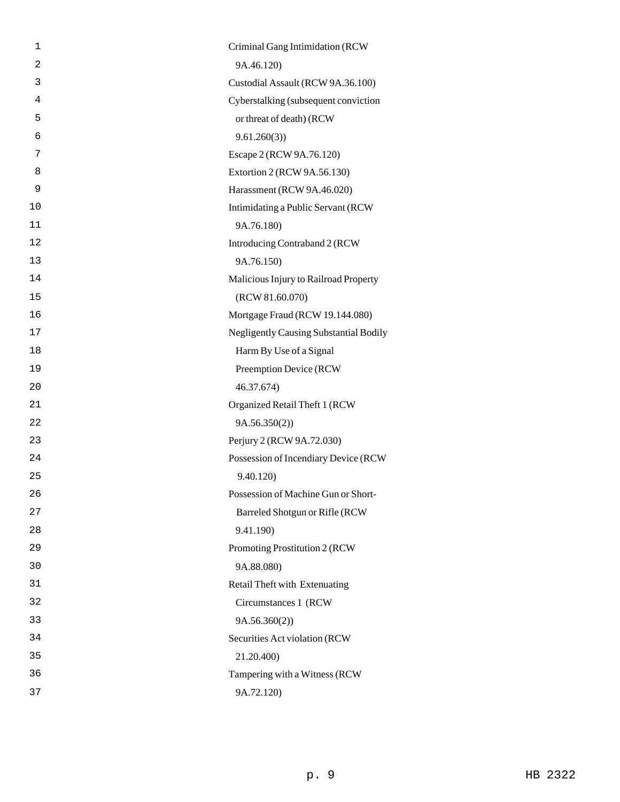| 1  | Criminal Gang Intimidation (RCW               |
|----|-----------------------------------------------|
| 2  | 9A.46.120)                                    |
| 3  | Custodial Assault (RCW 9A.36.100)             |
| 4  | Cyberstalking (subsequent conviction          |
| 5  | or threat of death) (RCW                      |
| 6  | 9.61.260(3)                                   |
| 7  | Escape 2 (RCW 9A.76.120)                      |
| 8  | Extortion 2 (RCW 9A.56.130)                   |
| 9  | Harassment (RCW 9A.46.020)                    |
| 10 | Intimidating a Public Servant (RCW            |
| 11 | 9A.76.180)                                    |
| 12 | Introducing Contraband 2 (RCW                 |
| 13 | 9A.76.150)                                    |
| 14 | Malicious Injury to Railroad Property         |
| 15 | (RCW 81.60.070)                               |
| 16 | Mortgage Fraud (RCW 19.144.080)               |
| 17 | <b>Negligently Causing Substantial Bodily</b> |
| 18 | Harm By Use of a Signal                       |
| 19 | Preemption Device (RCW                        |
| 20 | 46.37.674)                                    |
| 21 | Organized Retail Theft 1 (RCW                 |
| 22 | 9A.56.350(2)                                  |
| 23 | Perjury 2 (RCW 9A.72.030)                     |
| 24 | Possession of Incendiary Device (RCW          |
| 25 | 9.40.120)                                     |
| 26 | Possession of Machine Gun or Short-           |
| 27 | Barreled Shotgun or Rifle (RCW                |
| 28 | 9.41.190)                                     |
| 29 | Promoting Prostitution 2 (RCW                 |
| 30 | 9A.88.080)                                    |
| 31 | Retail Theft with Extenuating                 |
| 32 | Circumstances 1 (RCW                          |
| 33 | 9A.56.360(2))                                 |
| 34 | Securities Act violation (RCW                 |
| 35 | 21.20.400)                                    |
| 36 | Tampering with a Witness (RCW                 |
| 37 | 9A.72.120)                                    |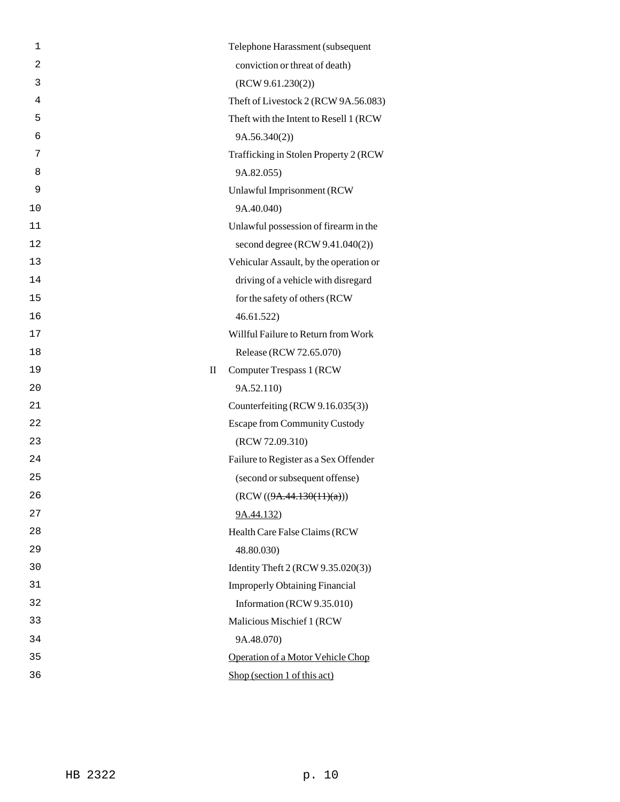| 1              |              | Telephone Harassment (subsequent        |
|----------------|--------------|-----------------------------------------|
| $\overline{2}$ |              | conviction or threat of death)          |
| 3              |              | (RCW 9.61.230(2))                       |
| 4              |              | Theft of Livestock 2 (RCW 9A.56.083)    |
| 5              |              | Theft with the Intent to Resell 1 (RCW) |
| 6              |              | 9A.56.340(2)                            |
| 7              |              | Trafficking in Stolen Property 2 (RCW   |
| 8              |              | 9A.82.055)                              |
| 9              |              | Unlawful Imprisonment (RCW              |
| 10             |              | 9A.40.040)                              |
| 11             |              | Unlawful possession of firearm in the   |
| 12             |              | second degree (RCW 9.41.040(2))         |
| 13             |              | Vehicular Assault, by the operation or  |
| 14             |              | driving of a vehicle with disregard     |
| 15             |              | for the safety of others (RCW           |
| 16             |              | 46.61.522                               |
| 17             |              | Willful Failure to Return from Work     |
| 18             |              | Release (RCW 72.65.070)                 |
| 19             | $\mathbf{I}$ | <b>Computer Trespass 1 (RCW)</b>        |
| 20             |              | 9A.52.110)                              |
| 21             |              | Counterfeiting (RCW 9.16.035(3))        |
| 22             |              | <b>Escape from Community Custody</b>    |
| 23             |              | (RCW 72.09.310)                         |
| 24             |              | Failure to Register as a Sex Offender   |
| 25             |              | (second or subsequent offense)          |
| 26             |              | (RCW ((9A.44.130(11)(a)))               |
| 27             |              | 9A.44.132)                              |
| 28             |              | Health Care False Claims (RCW           |
| 29             |              | 48.80.030)                              |
| 30             |              | Identity Theft 2 (RCW 9.35.020(3))      |
| 31             |              | <b>Improperly Obtaining Financial</b>   |
| 32             |              | Information (RCW 9.35.010)              |
| 33             |              | Malicious Mischief 1 (RCW               |
| 34             |              | 9A.48.070)                              |
| 35             |              | Operation of a Motor Vehicle Chop       |
| 36             |              | Shop (section 1 of this act)            |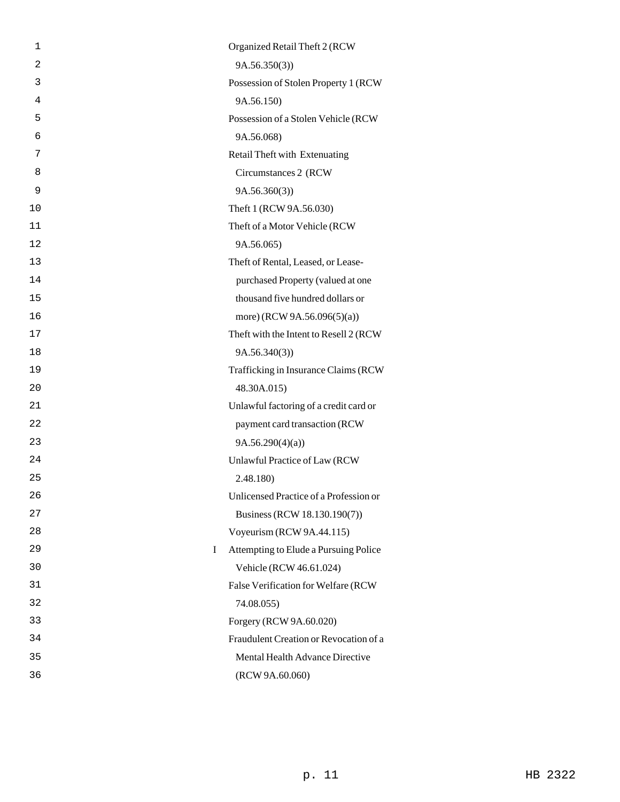| 1  | Organized Retail Theft 2 (RCW              |
|----|--------------------------------------------|
| 2  | 9A.56.350(3)                               |
| 3  | Possession of Stolen Property 1 (RCW       |
| 4  | 9A.56.150)                                 |
| 5  | Possession of a Stolen Vehicle (RCW        |
| 6  | 9A.56.068)                                 |
| 7  | Retail Theft with Extenuating              |
| 8  | Circumstances 2 (RCW)                      |
| 9  | 9A.56.360(3)                               |
| 10 | Theft 1 (RCW 9A.56.030)                    |
| 11 | Theft of a Motor Vehicle (RCW              |
| 12 | 9A.56.065)                                 |
| 13 | Theft of Rental, Leased, or Lease-         |
| 14 | purchased Property (valued at one          |
| 15 | thousand five hundred dollars or           |
| 16 | more) (RCW 9A.56.096(5)(a))                |
| 17 | Theft with the Intent to Resell 2 (RCW     |
| 18 | 9A.56.340(3)                               |
| 19 | Trafficking in Insurance Claims (RCW       |
| 20 | 48.30A.015)                                |
| 21 | Unlawful factoring of a credit card or     |
| 22 | payment card transaction (RCW              |
| 23 | 9A.56.290(4)(a)                            |
| 24 | Unlawful Practice of Law (RCW              |
| 25 | 2.48.180)                                  |
| 26 | Unlicensed Practice of a Profession or     |
| 27 | Business (RCW 18.130.190(7))               |
| 28 | Voyeurism (RCW 9A.44.115)                  |
| 29 | Attempting to Elude a Pursuing Police<br>L |
| 30 | Vehicle (RCW 46.61.024)                    |
| 31 | False Verification for Welfare (RCW        |
| 32 | 74.08.055)                                 |
| 33 | Forgery (RCW 9A.60.020)                    |
| 34 | Fraudulent Creation or Revocation of a     |
| 35 | Mental Health Advance Directive            |
| 36 | (RCW 9A.60.060)                            |